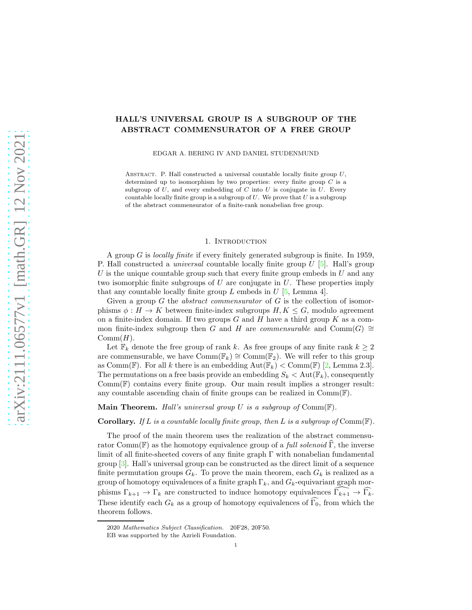# HALL'S UNIVERSAL GROUP IS A SUBGROUP OF THE ABSTRACT COMMENSURATOR OF A FREE GROUP

EDGAR A. BERING IV AND DANIEL STUDENMUND

ABSTRACT. P. Hall constructed a universal countable locally finite group  $U$ , determined up to isomorphism by two properties: every finite group  $C$  is a subgroup of  $U$ , and every embedding of  $C$  into  $U$  is conjugate in  $U$ . Every countable locally finite group is a subgroup of  $U$ . We prove that  $U$  is a subgroup of the abstract commensurator of a finite-rank nonabelian free group.

#### 1. INTRODUCTION

A group G is locally finite if every finitely generated subgroup is finite. In 1959, P. Hall constructed a *universal* countable locally finite group  $U$  [\[5\]](#page-4-0). Hall's group U is the unique countable group such that every finite group embeds in  $U$  and any two isomorphic finite subgroups of  $U$  are conjugate in  $U$ . These properties imply that any countable locally finite group  $L$  embeds in  $U$  [\[5,](#page-4-0) Lemma 4].

Given a group  $G$  the *abstract commensurator* of  $G$  is the collection of isomorphisms  $\phi : H \to K$  between finite-index subgroups  $H, K \leq G$ , modulo agreement on a finite-index domain. If two groups  $G$  and  $H$  have a third group  $K$  as a common finite-index subgroup then G and H are commensurable and  $\mathrm{Comm}(G) \cong$  $Comm(H)$ .

Let  $\mathbb{F}_k$  denote the free group of rank k. As free groups of any finite rank  $k \geq 2$ are commensurable, we have  $\mathrm{Comm}(\mathbb{F}_k) \cong \mathrm{Comm}(\mathbb{F}_2)$ . We will refer to this group as Comm(F). For all k there is an embedding  $Aut(\mathbb{F}_k) < Comm(\mathbb{F})$  [\[2,](#page-4-1) Lemma 2.3]. The permutations on a free basis provide an embedding  $S_k < \text{Aut}(\mathbb{F}_k)$ , consequently  $Comm(\mathbb{F})$  contains every finite group. Our main result implies a stronger result: any countable ascending chain of finite groups can be realized in  $Comm(\mathbb{F})$ .

Main Theorem. Hall's universal group U is a subgroup of  $Comm(\mathbb{F})$ .

**Corollary.** If L is a countable locally finite group, then L is a subgroup of  $Comm(\mathbb{F})$ .

The proof of the main theorem uses the realization of the abstract commensurator Comm( $\mathbb{F}$ ) as the homotopy equivalence group of a *full solenoid*  $\widehat{\Gamma}$ , the inverse limit of all finite-sheeted covers of any finite graph Γ with nonabelian fundamental group [\[3\]](#page-4-2). Hall's universal group can be constructed as the direct limit of a sequence finite permutation groups  $G_k$ . To prove the main theorem, each  $G_k$  is realized as a group of homotopy equivalences of a finite graph  $\Gamma_k$ , and  $G_k$ -equivariant graph morphisms  $\Gamma_{k+1} \to \Gamma_k$  are constructed to induce homotopy equivalences  $\Gamma_{k+1} \to \Gamma_k$ . These identify each  $G_k$  as a group of homotopy equivalences of  $\Gamma_0$ , from which the theorem follows.

<sup>2020</sup> Mathematics Subject Classification. 20F28, 20F50.

EB was supported by the Azrieli Foundation.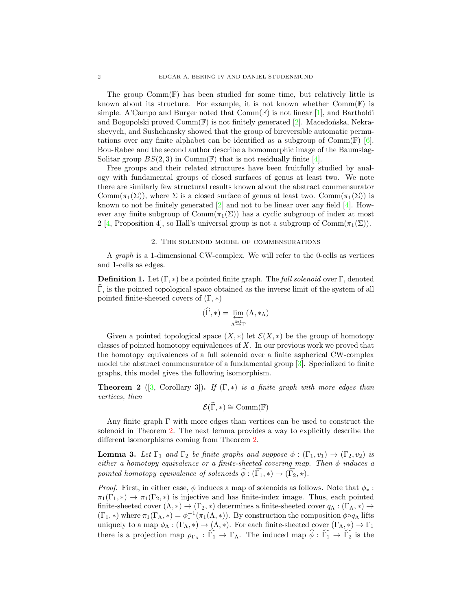The group  $Comm(\mathbb{F})$  has been studied for some time, but relatively little is known about its structure. For example, it is not known whether  $Comm(F)$  is simple. A'Campo and Burger noted that  $Comm(\mathbb{F})$  is not linear [\[1\]](#page-4-3), and Bartholdi and Bogopolski proved  $Comm(\mathbb{F})$  is not finitely generated [\[2\]](#page-4-1). Macedonska, Nekrashevych, and Sushchansky showed that the group of bireversible automatic permutations over any finite alphabet can be identified as a subgroup of  $Comm(\mathbb{F})$  [\[6\]](#page-4-4). Bou-Rabee and the second author describe a homomorphic image of the Baumslag-Solitar group  $BS(2,3)$  in Comm(F) that is not residually finite [\[4\]](#page-4-5).

Free groups and their related structures have been fruitfully studied by analogy with fundamental groups of closed surfaces of genus at least two. We note there are similarly few structural results known about the abstract commensurator Comm( $\pi_1(\Sigma)$ ), where  $\Sigma$  is a closed surface of genus at least two. Comm( $\pi_1(\Sigma)$ ) is known to not be finitely generated [\[2\]](#page-4-1) and not to be linear over any field [\[4\]](#page-4-5). However any finite subgroup of  $Comm(\pi_1(\Sigma))$  has a cyclic subgroup of index at most 2 [\[4,](#page-4-5) Proposition 4], so Hall's universal group is not a subgroup of  $Comm(\pi_1(\Sigma)).$ 

## 2. The solenoid model of commensurations

A graph is a 1-dimensional CW-complex. We will refer to the 0-cells as vertices and 1-cells as edges.

**Definition 1.** Let  $(\Gamma, *)$  be a pointed finite graph. The full solenoid over  $\Gamma$ , denoted  $\Gamma$ , is the pointed topological space obtained as the inverse limit of the system of all pointed finite-sheeted covers of  $(\Gamma, *)$ 

$$
(\widehat{\Gamma},*) = \varprojlim_{\Lambda \stackrel{k:1}{\to} \Gamma} (\Lambda, *_{\Lambda})
$$

Given a pointed topological space  $(X, *)$  let  $\mathcal{E}(X, *)$  be the group of homotopy classes of pointed homotopy equivalences of  $X$ . In our previous work we proved that the homotopy equivalences of a full solenoid over a finite aspherical CW-complex model the abstract commensurator of a fundamental group [\[3\]](#page-4-2). Specialized to finite graphs, this model gives the following isomorphism.

<span id="page-1-0"></span>**Theorem 2** ([\[3,](#page-4-2) Corollary 3]). If  $(\Gamma, *)$  is a finite graph with more edges than vertices, then

$$
\mathcal{E}(\widehat{\Gamma},*)\cong \mathrm{Comm}(\mathbb{F})
$$

Any finite graph Γ with more edges than vertices can be used to construct the solenoid in Theorem [2.](#page-1-0) The next lemma provides a way to explicitly describe the different isomorphisms coming from Theorem [2.](#page-1-0)

<span id="page-1-1"></span>**Lemma 3.** Let  $\Gamma_1$  and  $\Gamma_2$  be finite graphs and suppose  $\phi : (\Gamma_1, v_1) \to (\Gamma_2, v_2)$  is either a homotopy equivalence or a finite-sheeted covering map. Then  $\phi$  induces a pointed homotopy equivalence of solenoids  $\widehat{\phi}: (\widehat{\Gamma_1}, \ast) \to (\widehat{\Gamma_2}, \ast)$ .

*Proof.* First, in either case,  $\phi$  induces a map of solenoids as follows. Note that  $\phi_*$ :  $\pi_1(\Gamma_1,*) \to \pi_1(\Gamma_2,*)$  is injective and has finite-index image. Thus, each pointed finite-sheeted cover  $(\Lambda, *) \to (\Gamma_2, *)$  determines a finite-sheeted cover  $q_\Lambda : (\Gamma_\Lambda, *) \to$  $(\Gamma_1, *)$  where  $\pi_1(\Gamma_\Lambda, *) = \phi_*^{-1}(\pi_1(\Lambda, *))$ . By construction the composition  $\phi \circ q_\Lambda$  lifts uniquely to a map  $\phi_{\Lambda}: (\Gamma_{\Lambda}, *) \to (\Lambda, *)$ . For each finite-sheeted cover  $(\Gamma_{\Lambda}, *) \to \Gamma_1$ there is a projection map  $\rho_{\Gamma_{\Lambda}} : \Gamma_1 \to \Gamma_{\Lambda}$ . The induced map  $\phi : \Gamma_1 \to \Gamma_2$  is the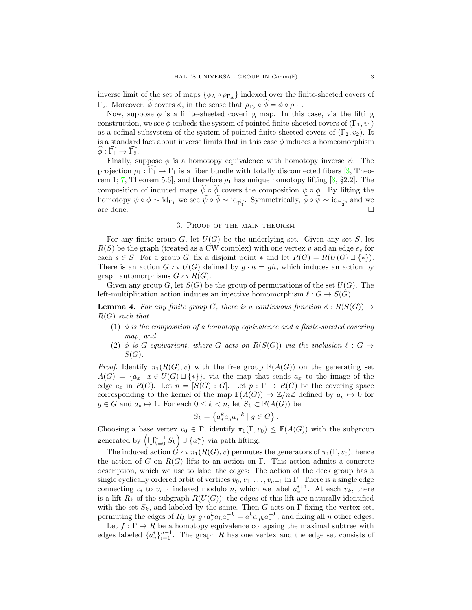inverse limit of the set of maps  $\{\phi_{\Lambda} \circ \rho_{\Gamma_{\Lambda}}\}$  indexed over the finite-sheeted covers of Γ<sub>2</sub>. Moreover,  $\phi$  covers  $\phi$ , in the sense that  $\rho_{\Gamma_2} \circ \phi = \phi \circ \rho_{\Gamma_1}$ .

Now, suppose  $\phi$  is a finite-sheeted covering map. In this case, via the lifting construction, we see  $\phi$  embeds the system of pointed finite-sheeted covers of  $(\Gamma_1, v_1)$ as a cofinal subsystem of the system of pointed finite-sheeted covers of  $(\Gamma_2, v_2)$ . It is a standard fact about inverse limits that in this case  $\phi$  induces a homeomorphism  $\phi : \Gamma_1 \to \Gamma_2.$ 

Finally, suppose  $\phi$  is a homotopy equivalence with homotopy inverse  $\psi$ . The projection  $\rho_1 : \Gamma_1 \to \Gamma_1$  is a fiber bundle with totally disconnected fibers [\[3,](#page-4-2) Theo-rem 1; [7,](#page-4-6) Theorem 5.6, and therefore  $\rho_1$  has unique homotopy lifting [\[8,](#page-4-7) §2.2]. The composition of induced maps  $\hat{\psi} \circ \hat{\phi}$  covers the composition  $\psi \circ \phi$ . By lifting the homotopy  $\psi \circ \phi \sim id_{\Gamma_1}$  we see  $\psi \circ \phi \sim id_{\widehat{\Gamma_1}}$ . Symmetrically,  $\phi \circ \psi \sim id_{\widehat{\Gamma_2}}$ , and we are done.  $\Box$ 

### 3. Proof of the main theorem

For any finite group  $G$ , let  $U(G)$  be the underlying set. Given any set  $S$ , let  $R(S)$  be the graph (treated as a CW complex) with one vertex v and an edge  $e_s$  for each  $s \in S$ . For a group G, fix a disjoint point  $*$  and let  $R(G) = R(U(G) \sqcup \{*\})$ . There is an action  $G \sim U(G)$  defined by  $g \cdot h = gh$ , which induces an action by graph automorphisms  $G \cap R(G)$ .

<span id="page-2-0"></span>Given any group G, let  $S(G)$  be the group of permutations of the set  $U(G)$ . The left-multiplication action induces an injective homomorphism  $\ell: G \to S(G)$ .

**Lemma 4.** For any finite group G, there is a continuous function  $\phi : R(S(G)) \rightarrow$  $R(G)$  such that

- (1)  $\phi$  is the composition of a homotopy equivalence and a finite-sheeted covering map, and
- (2) φ is G-equivariant, where G acts on  $R(S(G))$  via the inclusion  $\ell: G \rightarrow$  $S(G)$ .

*Proof.* Identify  $\pi_1(R(G), v)$  with the free group  $\mathbb{F}(A(G))$  on the generating set  $A(G) = \{a_x \mid x \in U(G) \sqcup \{*\}\}\$ , via the map that sends  $a_x$  to the image of the edge  $e_x$  in  $R(G)$ . Let  $n = [S(G) : G]$ . Let  $p : \Gamma \to R(G)$  be the covering space corresponding to the kernel of the map  $\mathbb{F}(A(G)) \to \mathbb{Z}/n\mathbb{Z}$  defined by  $a_q \mapsto 0$  for  $g \in G$  and  $a_* \mapsto 1$ . For each  $0 \leq k < n$ , let  $S_k \subset \mathbb{F}(A(G))$  be

$$
S_k = \left\{ a_*^k a_g a_*^{-k} \mid g \in G \right\}.
$$

Choosing a base vertex  $v_0 \in \Gamma$ , identify  $\pi_1(\Gamma, v_0) \leq \mathbb{F}(A(G))$  with the subgroup generated by  $(\bigcup_{k=0}^{n-1} S_k) \cup \{a_{*}^{n}\}\$  via path lifting.

The induced action  $G \sim \pi_1(R(G), v)$  permutes the generators of  $\pi_1(\Gamma, v_0)$ , hence the action of G on  $R(G)$  lifts to an action on Γ. This action admits a concrete description, which we use to label the edges: The action of the deck group has a single cyclically ordered orbit of vertices  $v_0, v_1, \ldots, v_{n-1}$  in Γ. There is a single edge connecting  $v_i$  to  $v_{i+1}$  indexed modulo n, which we label  $a_*^{i+1}$ . At each  $v_k$ , there is a lift  $R_k$  of the subgraph  $R(U(G))$ ; the edges of this lift are naturally identified with the set  $S_k$ , and labeled by the same. Then G acts on  $\Gamma$  fixing the vertex set, permuting the edges of  $R_k$  by  $g \cdot a^k_* a_h a^{-k}_* = a^k a_{gh} a^{-k}_*$ , and fixing all n other edges.

Let  $f: \Gamma \to R$  be a homotopy equivalence collapsing the maximal subtree with edges labeled  $\{a_{*}^{i}\}_{i=1}^{n-1}$ . The graph R has one vertex and the edge set consists of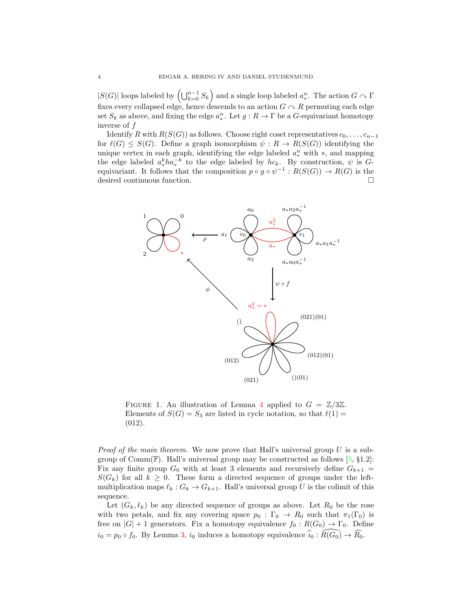$|S(G)|$  loops labeled by  $(\bigcup_{k=0}^{n-1} S_k)$  and a single loop labeled  $a_*^n$ . The action  $G \cap \Gamma$ fixes every collapsed edge, hence descends to an action  $G \cap R$  permuting each edge set  $S_k$  as above, and fixing the edge  $a_*^n$ . Let  $g: R \to \Gamma$  be a G-equivariant homotopy inverse of f

Identify R with  $R(S(G))$  as follows. Choose right coset representatives  $c_0, \ldots, c_{n-1}$ for  $\ell(G) \leq S(G)$ . Define a graph isomorphism  $\psi : R \to R(S(G))$  identifying the unique vertex in each graph, identifying the edge labeled  $a_*^n$  with  $*$ , and mapping the edge labeled  $a^k_* h a^{-k}_*$  to the edge labeled by  $hc_k$ . By construction,  $\psi$  is  $G$ equivariant. It follows that the composition  $p \circ g \circ \psi^{-1} : R(S(G)) \to R(G)$  is the desired continuous function.



FIGURE 1. An illustration of Lemma [4](#page-2-0) applied to  $G = \mathbb{Z}/3\mathbb{Z}$ . Elements of  $S(G) = S_3$  are listed in cycle notation, so that  $\ell(1) =$ (012).

*Proof of the main theorem.* We now prove that Hall's universal group  $U$  is a subgroup of Comm(F). Hall's universal group may be constructed as follows  $[5, §1.2]$ : Fix any finite group  $G_0$  with at least 3 elements and recursively define  $G_{k+1}$  =  $S(G_k)$  for all  $k \geq 0$ . These form a directed sequence of groups under the leftmultiplication maps  $\ell_k : G_k \to G_{k+1}$ . Hall's universal group U is the colimit of this sequence.

Let  $(G_k, \ell_k)$  be any directed sequence of groups as above. Let  $R_0$  be the rose with two petals, and fix any covering space  $p_0 : \Gamma_0 \to R_0$  such that  $\pi_1(\Gamma_0)$  is free on  $|G| + 1$  generators. Fix a homotopy equivalence  $f_0 : R(G_0) \to \Gamma_0$ . Define  $i_0 = p_0 \circ f_0$ . By Lemma [3,](#page-1-1)  $i_0$  induces a homotopy equivalence  $\hat{i}_0 : R(G_0) \to \hat{R}_0$ .